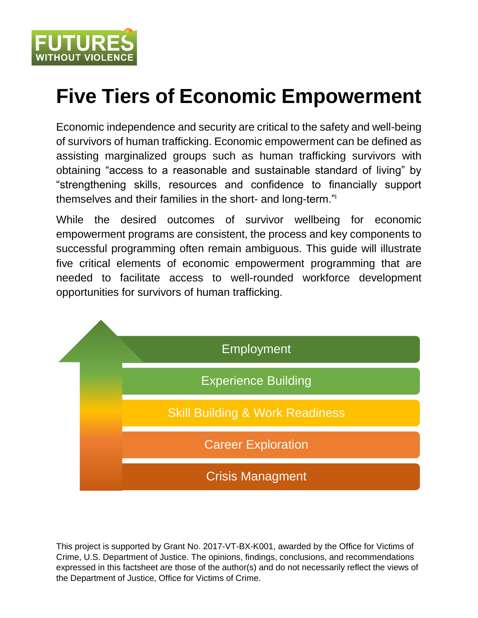

# **Five Tiers of Economic Empowerment**

Economic independence and security are critical to the safety and well-being of survivors of human trafficking. Economic empowerment can be defined as assisting marginalized groups such as human trafficking survivors with obtaining "access to a reasonable and sustainable standard of living" by "strengthening skills, resources and confidence to financially support themselves and their families in the short- and long-term."<sup>i</sup>

While the desired outcomes of survivor wellbeing for economic empowerment programs are consistent, the process and key components to successful programming often remain ambiguous. This guide will illustrate five critical elements of economic empowerment programming that are needed to facilitate access to well-rounded workforce development opportunities for survivors of human trafficking.



This project is supported by Grant No. 2017-VT-BX-K001, awarded by the Office for Victims of Crime, U.S. Department of Justice. The opinions, findings, conclusions, and recommendations expressed in this factsheet are those of the author(s) and do not necessarily reflect the views of the Department of Justice, Office for Victims of Crime.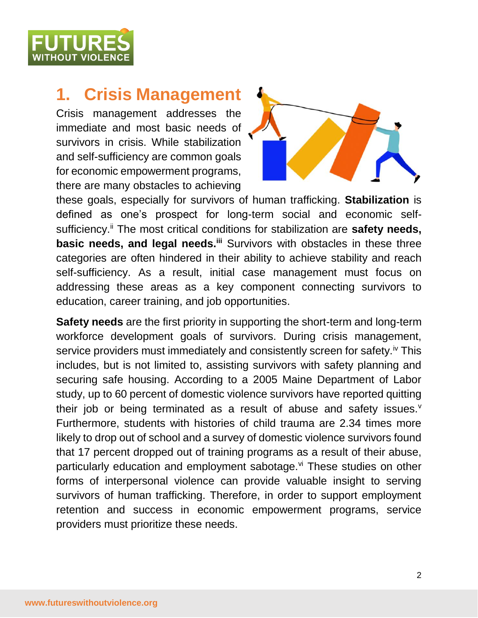

## **1. Crisis Management**

Crisis management addresses the immediate and most basic needs of survivors in crisis. While stabilization and self-sufficiency are common goals for economic empowerment programs, there are many obstacles to achieving



these goals, especially for survivors of human trafficking. **Stabilization** is defined as one's prospect for long-term social and economic selfsufficiency.<sup>ii</sup> The most critical conditions for stabilization are **safety needs**, **basic needs, and legal needs.<sup>iii</sup> Survivors with obstacles in these three** categories are often hindered in their ability to achieve stability and reach self-sufficiency. As a result, initial case management must focus on addressing these areas as a key component connecting survivors to education, career training, and job opportunities.

**Safety needs** are the first priority in supporting the short-term and long-term workforce development goals of survivors. During crisis management, service providers must immediately and consistently screen for safety.<sup>iv</sup> This includes, but is not limited to, assisting survivors with safety planning and securing safe housing. According to a 2005 Maine Department of Labor study, up to 60 percent of domestic violence survivors have reported quitting their job or being terminated as a result of abuse and safety issues. $<sup>v</sup>$ </sup> Furthermore, students with histories of child trauma are 2.34 times more likely to drop out of school and a survey of domestic violence survivors found that 17 percent dropped out of training programs as a result of their abuse, particularly education and employment sabotage.<sup>vi</sup> These studies on other forms of interpersonal violence can provide valuable insight to serving survivors of human trafficking. Therefore, in order to support employment retention and success in economic empowerment programs, service providers must prioritize these needs.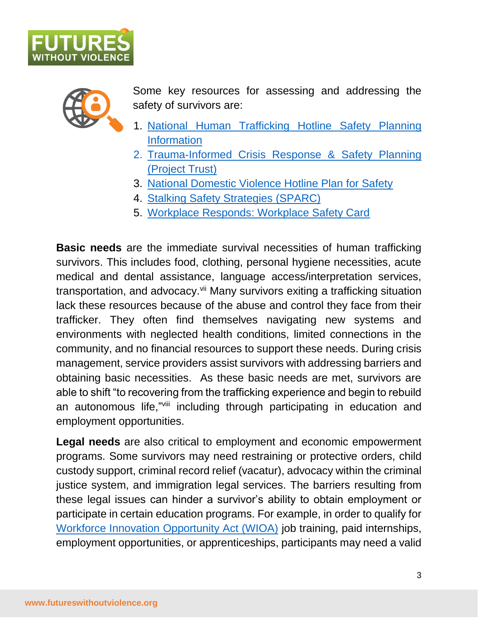



Some key resources for assessing and addressing the safety of survivors are:

- 1. [National Human Trafficking Hotline Safety Planning](https://humantraffickinghotline.org/es/faqs/safety-planning-information) [Information](https://humantraffickinghotline.org/es/faqs/safety-planning-information)
- 2. [Trauma-Informed Crisis Response & Safety Planning](https://refugees.org/wp-content/uploads/2022/02/Trauma-InformedCrisisResponseandSafetyPlanning-ProjectTRUSTHandout_FINAL.pdf)  [\(Project Trust\)](https://refugees.org/wp-content/uploads/2022/02/Trauma-InformedCrisisResponseandSafetyPlanning-ProjectTRUSTHandout_FINAL.pdf)
- 3. [National Domestic Violence Hotline Plan for Safety](https://www.thehotline.org/plan-for-safety/)
- 4. [Stalking Safety Strategies \(SPARC\)](https://www.stalkingawareness.org/wp-content/uploads/2018/11/Safety-Strategies.pdf)
- 5. [Workplace Responds: Workplace Safety Card](https://www.workplacesrespond.org/wp-content/uploads/2017/01/FWV_workplace_safetycard_fin_hirez-binder.pdf)

**Basic needs** are the immediate survival necessities of human trafficking survivors. This includes food, clothing, personal hygiene necessities, acute medical and dental assistance, language access/interpretation services, transportation, and advocacy.<sup>vii</sup> Many survivors exiting a trafficking situation lack these resources because of the abuse and control they face from their trafficker. They often find themselves navigating new systems and environments with neglected health conditions, limited connections in the community, and no financial resources to support these needs. During crisis management, service providers assist survivors with addressing barriers and obtaining basic necessities. As these basic needs are met, survivors are able to shift "to recovering from the trafficking experience and begin to rebuild an autonomous life,"viii including through participating in education and employment opportunities.

**Legal needs** are also critical to employment and economic empowerment programs. Some survivors may need restraining or protective orders, child custody support, criminal record relief (vacatur), advocacy within the criminal justice system, and immigration legal services. The barriers resulting from these legal issues can hinder a survivor's ability to obtain employment or participate in certain education programs. For example, in order to qualify for [Workforce Innovation Opportunity Act \(WIOA\)](https://www.futureswithoutviolence.org/wp-content/uploads/WIOA-Primer-for-OVC-Grantees_Designed-5.3.19.pdf) job training, paid internships, employment opportunities, or apprenticeships, participants may need a valid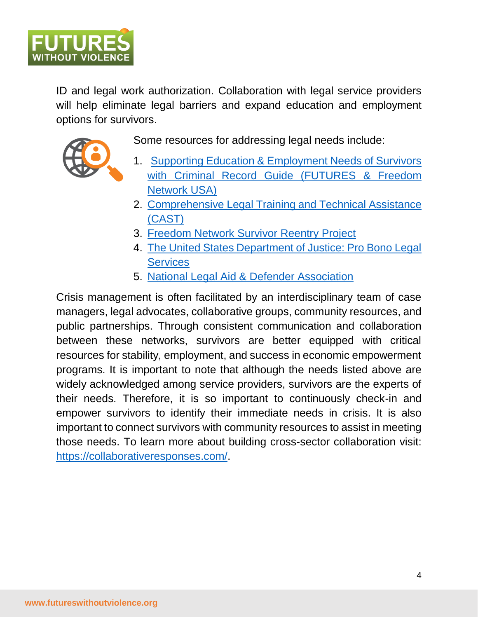

ID and legal work authorization. Collaboration with legal service providers will help eliminate legal barriers and expand education and employment options for survivors.



Some resources for addressing legal needs include:

- 1. [Supporting Education & Employment Needs of Survivors](https://www.futureswithoutviolence.org/wp-content/uploads/Supporting-the-Education-and-Employment-Needs-of-Survivors-with-Criminal-Records-Final-FUTURES.pdf)  [with Criminal Record Guide \(FUTURES](https://www.futureswithoutviolence.org/wp-content/uploads/Supporting-the-Education-and-Employment-Needs-of-Survivors-with-Criminal-Records-Final-FUTURES.pdf) & Freedom [Network USA\)](https://www.futureswithoutviolence.org/wp-content/uploads/Supporting-the-Education-and-Employment-Needs-of-Survivors-with-Criminal-Records-Final-FUTURES.pdf)
- 2. [Comprehensive Legal Training and Technical Assistance](https://casttta.nationbuilder.com/) [\(CAST\)](https://casttta.nationbuilder.com/)
- 3. [Freedom Network Survivor Reentry Project](https://freedomnetworkusa.org/advocacy/survivor-reentry-project/)
- 4. [The United States Department of Justice: Pro Bono Legal](https://probono.eoir.justice.gov/)  **[Services](https://probono.eoir.justice.gov/)**
- 5. [National Legal Aid & Defender Association](https://www.nlada.org/)

Crisis management is often facilitated by an interdisciplinary team of case managers, legal advocates, collaborative groups, community resources, and public partnerships. Through consistent communication and collaboration between these networks, survivors are better equipped with critical resources for stability, employment, and success in economic empowerment programs. It is important to note that although the needs listed above are widely acknowledged among service providers, survivors are the experts of their needs. Therefore, it is so important to continuously check-in and empower survivors to identify their immediate needs in crisis. It is also important to connect survivors with community resources to assist in meeting those needs. To learn more about building cross-sector collaboration visit: [https://collaborativeresponses.com/.](https://collaborativeresponses.com/)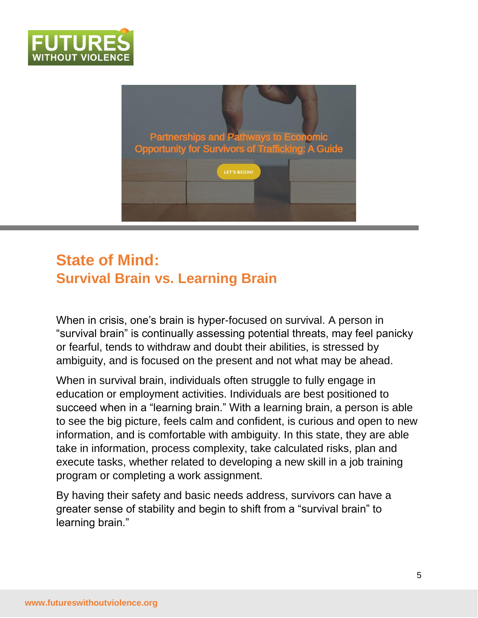



### **State of Mind: Survival Brain vs. Learning Brain**

When in crisis, one's brain is hyper-focused on survival. A person in "survival brain" is continually assessing potential threats, may feel panicky or fearful, tends to withdraw and doubt their abilities, is stressed by ambiguity, and is focused on the present and not what may be ahead.

When in survival brain, individuals often struggle to fully engage in education or employment activities. Individuals are best positioned to succeed when in a "learning brain." With a learning brain, a person is able to see the big picture, feels calm and confident, is curious and open to new information, and is comfortable with ambiguity. In this state, they are able take in information, process complexity, take calculated risks, plan and execute tasks, whether related to developing a new skill in a job training program or completing a work assignment.

By having their safety and basic needs address, survivors can have a greater sense of stability and begin to shift from a "survival brain" to learning brain."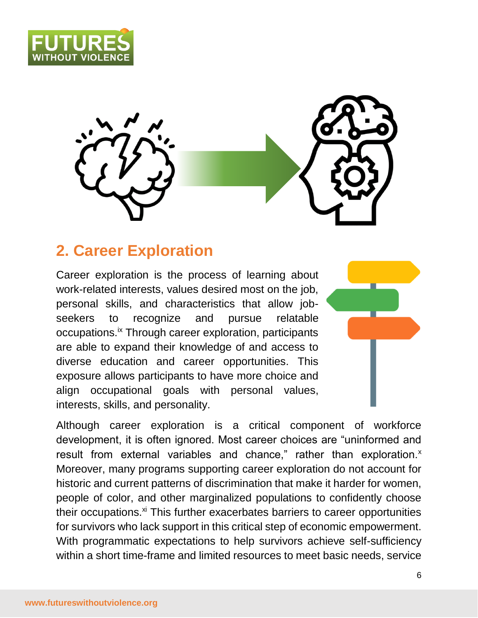





### **2. Career Exploration**

Career exploration is the process of learning about work-related interests, values desired most on the job, personal skills, and characteristics that allow jobseekers to recognize and pursue relatable occupations.ix Through career exploration, participants are able to expand their knowledge of and access to diverse education and career opportunities. This exposure allows participants to have more choice and align occupational goals with personal values, interests, skills, and personality.



Although career exploration is a critical component of workforce development, it is often ignored. Most career choices are "uninformed and result from external variables and chance," rather than exploration.<sup>x</sup> Moreover, many programs supporting career exploration do not account for historic and current patterns of discrimination that make it harder for women, people of color, and other marginalized populations to confidently choose their occupations.<sup>xi</sup> This further exacerbates barriers to career opportunities for survivors who lack support in this critical step of economic empowerment. With programmatic expectations to help survivors achieve self-sufficiency within a short time-frame and limited resources to meet basic needs, service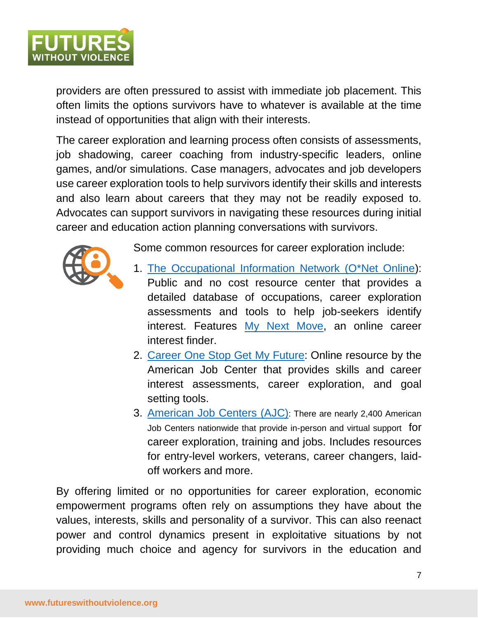

providers are often pressured to assist with immediate job placement. This often limits the options survivors have to whatever is available at the time instead of opportunities that align with their interests.

The career exploration and learning process often consists of assessments, job shadowing, career coaching from industry-specific leaders, online games, and/or simulations. Case managers, advocates and job developers use career exploration tools to help survivors identify their skills and interests and also learn about careers that they may not be readily exposed to. Advocates can support survivors in navigating these resources during initial career and education action planning conversations with survivors.



Some common resources for career exploration include:

- 1. [The Occupational Information Network \(O\\*Net Online\)](https://www.onetonline.org/): Public and no cost resource center that provides a detailed database of occupations, career exploration assessments and tools to help job-seekers identify interest. Features [My Next Move,](http://www.mynextmove.org/explore/ip) an online career interest finder.
- 2. [Career One Stop Get My Future:](https://www.careeronestop.org/GetMyFuture/ExploreCareers/explore-careers.aspx) Online resource by the American Job Center that provides skills and career interest assessments, career exploration, and goal setting tools.
- 3. [American Job Centers \(AJC\)](https://www.careeronestop.org/LocalHelp/AmericanJobCenters/find-american-job-centers.aspx): There are nearly 2,400 American Job Centers nationwide that provide in-person and virtual support for career exploration, training and jobs. Includes resources for entry-level workers, veterans, career changers, laidoff workers and more.

By offering limited or no opportunities for career exploration, economic empowerment programs often rely on assumptions they have about the values, interests, skills and personality of a survivor. This can also reenact power and control dynamics present in exploitative situations by not providing much choice and agency for survivors in the education and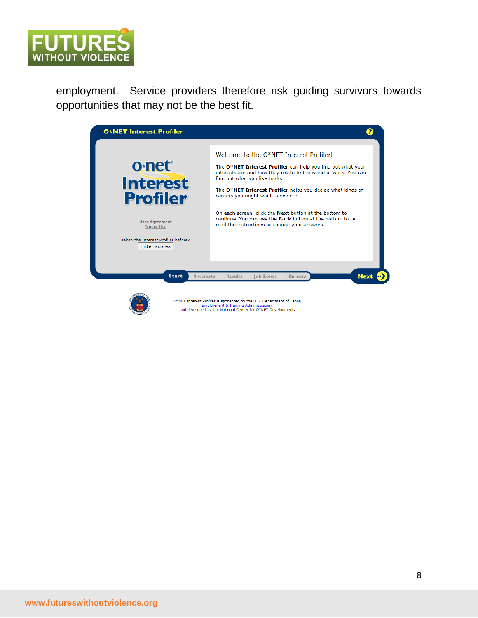

employment. Service providers therefore risk guiding survivors towards opportunities that may not be the best fit.





O\*NET Interest Profiler is sponsored by the U.S. Department of Labor, Employment & Training Administration,<br>and developed by the National Center for O\*NET Development.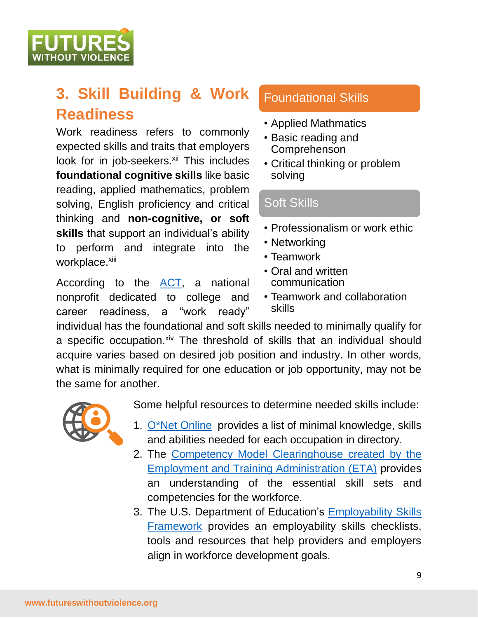**WITHOUT VIOLENC** 

# **3. Skill Building & Work Readiness**

Work readiness refers to commonly expected skills and traits that employers look for in job-seekers.<sup>xii</sup> This includes **foundational cognitive skills** like basic reading, applied mathematics, problem solving, English proficiency and critical thinking and **non-cognitive, or soft skills** that support an individual's ability to perform and integrate into the workplace.xiii

According to the [ACT,](https://www.act.org/content/dam/act/unsecured/documents/Work-Readiness-Standards-and-Benchmarks.pdf) a national nonprofit dedicated to college and career readiness, a "work ready"

#### Foundational Skills

- Applied Mathmatics
- Basic reading and Comprehenson
- Critical thinking or problem solving

#### Soft Skills

- Professionalism or work ethic
- Networking
- Teamwork
- Oral and written communication
- Teamwork and collaboration skills

individual has the foundational and soft skills needed to minimally qualify for a specific occupation.xiv The threshold of skills that an individual should acquire varies based on desired job position and industry. In other words, what is minimally required for one education or job opportunity, may not be the same for another.



Some helpful resources to determine needed skills include:

- 1. [O\\*Net Online](https://www.onetonline.org/) provides a list of minimal knowledge, skills and abilities needed for each occupation in directory.
- 2. The [Competency Model Clearinghouse](https://www.careeronestop.org/CompetencyModel/competency-models/pyramid-home.aspx) created by the [Employment and Training Administration \(ETA\)](https://www.dol.gov/agencies/eta) provides an understanding of the essential skill sets and competencies for the workforce.
- 3. The U.S. Department of Education's [Employability Skills](http://cte.ed.gov/initiatives/employability-skills-framework)  [Framework](http://cte.ed.gov/initiatives/employability-skills-framework) provides an employability skills checklists, tools and resources that help providers and employers align in workforce development goals.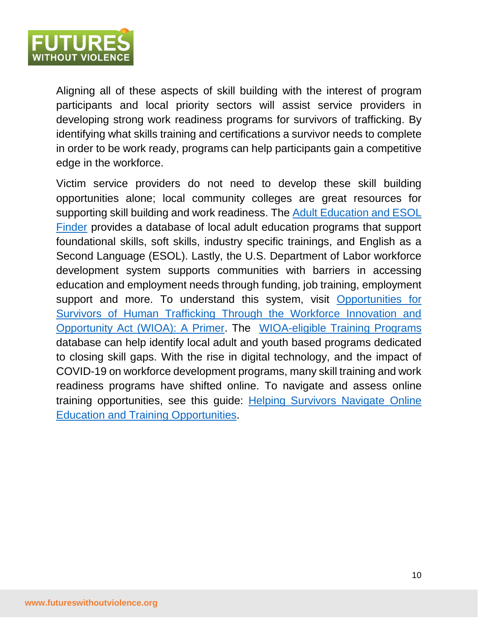

Aligning all of these aspects of skill building with the interest of program participants and local priority sectors will assist service providers in developing strong work readiness programs for survivors of trafficking. By identifying what skills training and certifications a survivor needs to complete in order to be work ready, programs can help participants gain a competitive edge in the workforce.

Victim service providers do not need to develop these skill building opportunities alone; local community colleges are great resources for supporting skill building and work readiness. The [Adult Education and ESOL](https://www.nld.org/)  [Finder](https://www.nld.org/) provides a database of local adult education programs that support foundational skills, soft skills, industry specific trainings, and English as a Second Language (ESOL). Lastly, the U.S. Department of Labor workforce development system supports communities with barriers in accessing education and employment needs through funding, job training, employment support and more. To understand this system, visit Opportunities for [Survivors of Human Trafficking Through the Workforce Innovation and](https://www.futureswithoutviolence.org/wp-content/uploads/WIOA-Primer-for-OVC-Grantees_Designed-5.3.19.pdf)  [Opportunity Act \(WIOA\): A Primer.](https://www.futureswithoutviolence.org/wp-content/uploads/WIOA-Primer-for-OVC-Grantees_Designed-5.3.19.pdf) The [WIOA-eligible Training Programs](https://www.careeronestop.org/LocalHelp/EmploymentAndTraining/find-WIOA-training-programs.aspx) database can help identify local adult and youth based programs dedicated to closing skill gaps. With the rise in digital technology, and the impact of COVID-19 on workforce development programs, many skill training and work readiness programs have shifted online. To navigate and assess online training opportunities, see this guide: [Helping Survivors Navigate Online](http://www.futureswithoutviolence.org/wp-content/uploads/Navigating-Opportunities-to-Upskill-Online_final.pdf)  [Education and Training Opportunities.](http://www.futureswithoutviolence.org/wp-content/uploads/Navigating-Opportunities-to-Upskill-Online_final.pdf)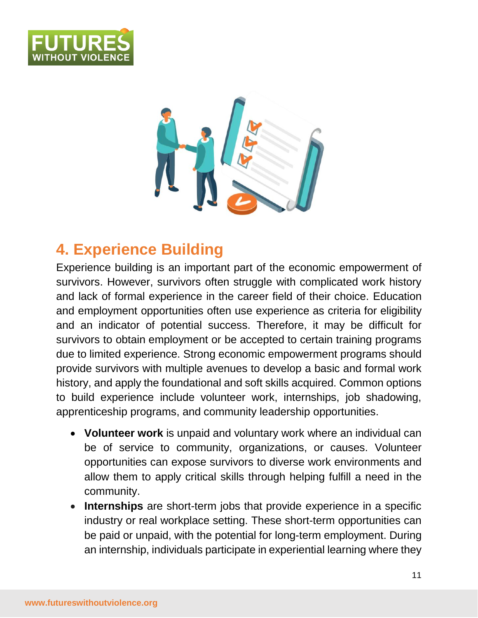



### **4. Experience Building**

Experience building is an important part of the economic empowerment of survivors. However, survivors often struggle with complicated work history and lack of formal experience in the career field of their choice. Education and employment opportunities often use experience as criteria for eligibility and an indicator of potential success. Therefore, it may be difficult for survivors to obtain employment or be accepted to certain training programs due to limited experience. Strong economic empowerment programs should provide survivors with multiple avenues to develop a basic and formal work history, and apply the foundational and soft skills acquired. Common options to build experience include volunteer work, internships, job shadowing, apprenticeship programs, and community leadership opportunities.

- **Volunteer work** is unpaid and voluntary work where an individual can be of service to community, organizations, or causes. Volunteer opportunities can expose survivors to diverse work environments and allow them to apply critical skills through helping fulfill a need in the community.
- **Internships** are short-term jobs that provide experience in a specific industry or real workplace setting. These short-term opportunities can be paid or unpaid, with the potential for long-term employment. During an internship, individuals participate in experiential learning where they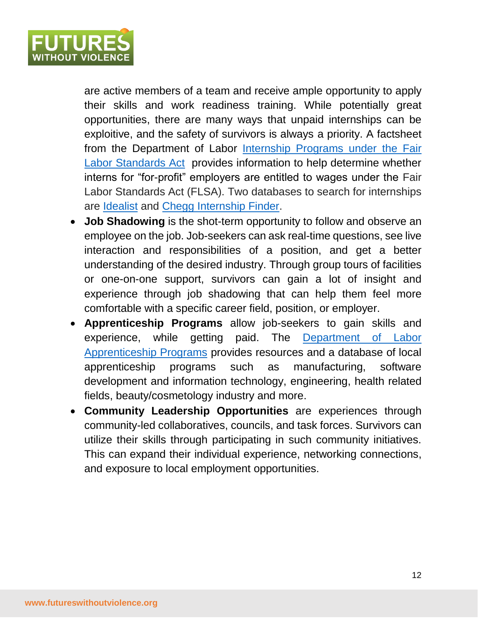

are active members of a team and receive ample opportunity to apply their skills and work readiness training. While potentially great opportunities, there are many ways that unpaid internships can be exploitive, and the safety of survivors is always a priority. A factsheet from the Department of Labor [Internship Programs under](https://www.dol.gov/agencies/whd/fact-sheets/71-flsa-internships) the Fair [Labor Standards Act](https://www.dol.gov/agencies/whd/fact-sheets/71-flsa-internships) provides information to help determine whether interns for "for-profit" employers are entitled to wages under the Fair Labor Standards Act (FLSA). Two databases to search for internships are [Idealist](https://www.idealist.org/en/) and [Chegg Internship Finder.](https://www.internships.com/)

- **Job Shadowing** is the shot-term opportunity to follow and observe an employee on the job. Job-seekers can ask real-time questions, see live interaction and responsibilities of a position, and get a better understanding of the desired industry. Through group tours of facilities or one-on-one support, survivors can gain a lot of insight and experience through job shadowing that can help them feel more comfortable with a specific career field, position, or employer.
- **Apprenticeship Programs** allow job-seekers to gain skills and experience, while getting paid. The [Department of Labor](https://www.apprenticeship.gov/apprenticeship-job-finder)  [Apprenticeship Programs](https://www.apprenticeship.gov/apprenticeship-job-finder) provides resources and a database of local apprenticeship programs such as manufacturing, software development and information technology, engineering, health related fields, beauty/cosmetology industry and more.
- **Community Leadership Opportunities** are experiences through community-led collaboratives, councils, and task forces. Survivors can utilize their skills through participating in such community initiatives. This can expand their individual experience, networking connections, and exposure to local employment opportunities.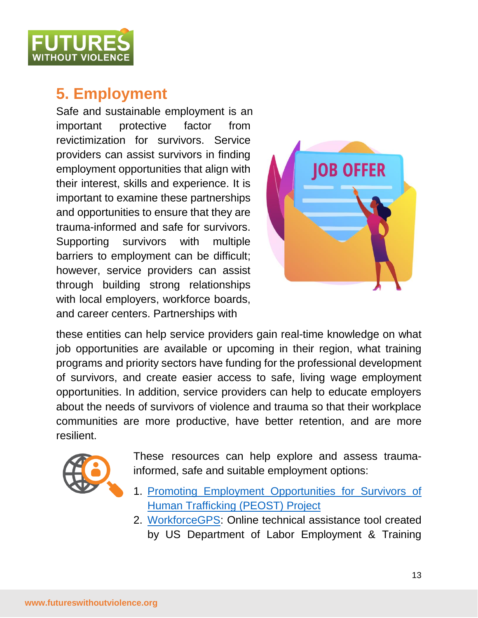

### **5. Employment**

Safe and sustainable employment is an important protective factor from revictimization for survivors. Service providers can assist survivors in finding employment opportunities that align with their interest, skills and experience. It is important to examine these partnerships and opportunities to ensure that they are trauma-informed and safe for survivors. Supporting survivors with multiple barriers to employment can be difficult; however, service providers can assist through building strong relationships with local employers, workforce boards, and career centers. Partnerships with



these entities can help service providers gain real-time knowledge on what job opportunities are available or upcoming in their region, what training programs and priority sectors have funding for the professional development of survivors, and create easier access to safe, living wage employment opportunities. In addition, service providers can help to educate employers about the needs of survivors of violence and trauma so that their workplace communities are more productive, have better retention, and are more resilient.



These resources can help explore and assess traumainformed, safe and suitable employment options:

- 1. [Promoting Employment Opportunities for Survivors of](https://www.futureswithoutviolence.org/human-trafficking/promoting-employment-opportunities-survivors-trafficking/)  [Human Trafficking \(PEOST\) Project](https://www.futureswithoutviolence.org/human-trafficking/promoting-employment-opportunities-survivors-trafficking/)
- 2. [WorkforceGPS:](https://www.workforcegps.org/) Online technical assistance tool created by US Department of Labor Employment & Training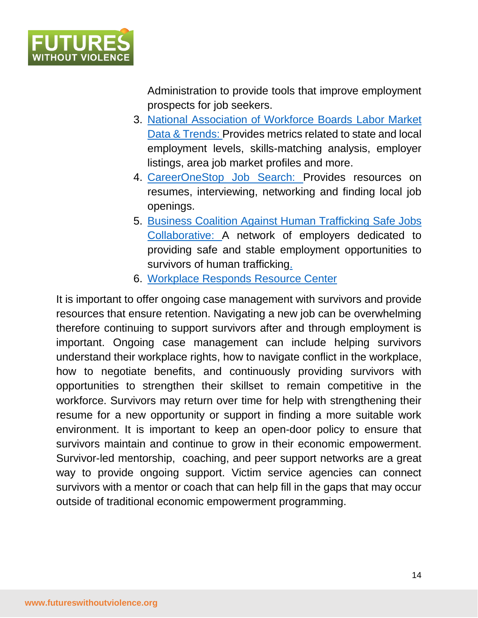

Administration to provide tools that improve employment prospects for job seekers.

- 3. [National Association of Workforce Boards](https://www.nawb.org/resources/labor-market) Labor Market [Data & Trends:](https://www.nawb.org/resources/labor-market) Provides metrics related to state and local employment levels, skills-matching analysis, employer listings, area job market profiles and more.
- 4. [CareerOneStop Job Search:](https://www.careeronestop.org/JobSearch/job-search.aspx) Provides resources on resumes, interviewing, networking and finding local job openings.
- 5. [Business Coalition Against Human Trafficking](https://www.bestalliance.org/safe-jobs.html) Safe Jobs [Collaborative:](https://www.bestalliance.org/safe-jobs.html) A network of employers dedicated to providing safe and stable employment opportunities to survivors of human trafficking.
- 6. [Workplace Responds Resource Center](https://www.workplacesrespond.org/about-workplaces-respond-to-domestic-and-sexual-violence/)

It is important to offer ongoing case management with survivors and provide resources that ensure retention. Navigating a new job can be overwhelming therefore continuing to support survivors after and through employment is important. Ongoing case management can include helping survivors understand their workplace rights, how to navigate conflict in the workplace, how to negotiate benefits, and continuously providing survivors with opportunities to strengthen their skillset to remain competitive in the workforce. Survivors may return over time for help with strengthening their resume for a new opportunity or support in finding a more suitable work environment. It is important to keep an open-door policy to ensure that survivors maintain and continue to grow in their economic empowerment. Survivor-led mentorship, coaching, and peer support networks are a great way to provide ongoing support. Victim service agencies can connect survivors with a mentor or coach that can help fill in the gaps that may occur outside of traditional economic empowerment programming.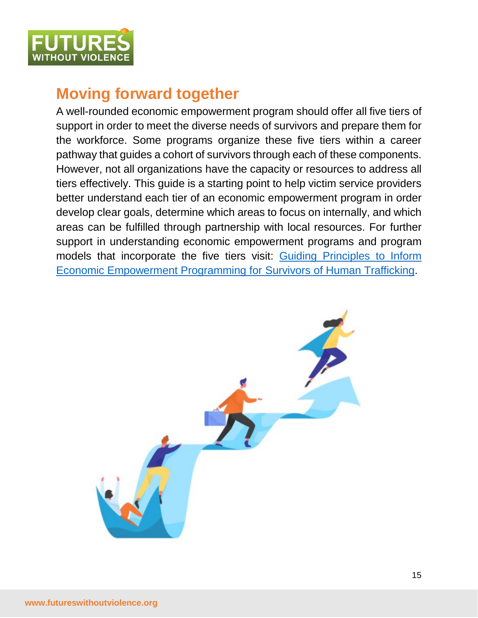

### **Moving forward together**

A well-rounded economic empowerment program should offer all five tiers of support in order to meet the diverse needs of survivors and prepare them for the workforce. Some programs organize these five tiers within a career pathway that guides a cohort of survivors through each of these components. However, not all organizations have the capacity or resources to address all tiers effectively. This guide is a starting point to help victim service providers better understand each tier of an economic empowerment program in order develop clear goals, determine which areas to focus on internally, and which areas can be fulfilled through partnership with local resources. For further support in understanding economic empowerment programs and program models that incorporate the five tiers visit: [Guiding Principles to Inform](https://www.futureswithoutviolence.org/wp-content/uploads/Best-Practices-in-Economic-Empowerment-Programs_2021.pdf)  [Economic Empowerment Programming for Survivors of Human Trafficking.](https://www.futureswithoutviolence.org/wp-content/uploads/Best-Practices-in-Economic-Empowerment-Programs_2021.pdf)